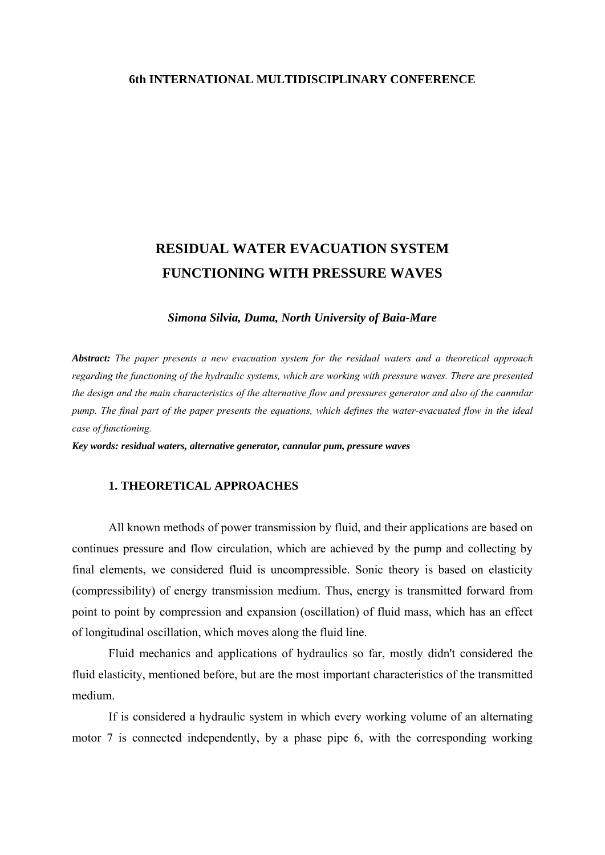## **6th INTERNATIONAL MULTIDISCIPLINARY CONFERENCE**

# **RESIDUAL WATER EVACUATION SYSTEM FUNCTIONING WITH PRESSURE WAVES**

*Simona Silvia, Duma, North University of Baia-Mare* 

*Abstract: The paper presents a new evacuation system for the residual waters and a theoretical approach regarding the functioning of the hydraulic systems, which are working with pressure waves. There are presented the design and the main characteristics of the alternative flow and pressures generator and also of the cannular pump. The final part of the paper presents the equations, which defines the water-evacuated flow in the ideal case of functioning.* 

*Key words: residual waters, alternative generator, cannular pum, pressure waves* 

# **1. THEORETICAL APPROACHES**

 All known methods of power transmission by fluid, and their applications are based on continues pressure and flow circulation, which are achieved by the pump and collecting by final elements, we considered fluid is uncompressible. Sonic theory is based on elasticity (compressibility) of energy transmission medium. Thus, energy is transmitted forward from point to point by compression and expansion (oscillation) of fluid mass, which has an effect of longitudinal oscillation, which moves along the fluid line.

 Fluid mechanics and applications of hydraulics so far, mostly didn't considered the fluid elasticity, mentioned before, but are the most important characteristics of the transmitted medium.

 If is considered a hydraulic system in which every working volume of an alternating motor 7 is connected independently, by a phase pipe 6, with the corresponding working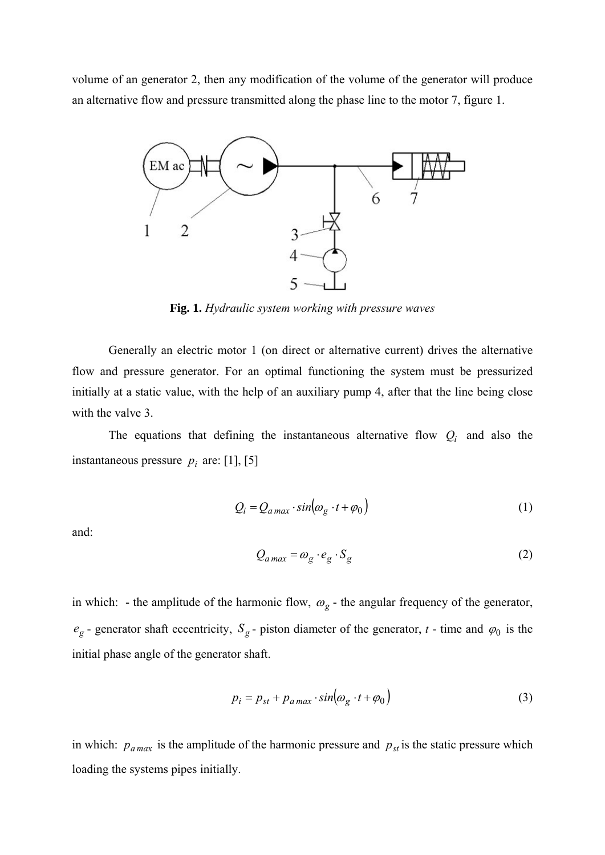volume of an generator 2, then any modification of the volume of the generator will produce an alternative flow and pressure transmitted along the phase line to the motor 7, figure 1.



**Fig. 1.** *Hydraulic system working with pressure waves*

 Generally an electric motor 1 (on direct or alternative current) drives the alternative flow and pressure generator. For an optimal functioning the system must be pressurized initially at a static value, with the help of an auxiliary pump 4, after that the line being close with the valve 3.

The equations that defining the instantaneous alternative flow  $Q_i$  and also the instantaneous pressure  $p_i$  are: [1], [5]

$$
Q_i = Q_{a \max} \cdot \sin(\omega_g \cdot t + \varphi_0)
$$
 (1)

and:

$$
Q_{a\max} = \omega_g \cdot e_g \cdot S_g \tag{2}
$$

in which: - the amplitude of the harmonic flow,  $\omega_g$  - the angular frequency of the generator,  $e_g$  - generator shaft eccentricity,  $S_g$  - piston diameter of the generator, *t* - time and  $\varphi_0$  is the initial phase angle of the generator shaft.

$$
p_i = p_{st} + p_{a \max} \cdot \sin(\omega_g \cdot t + \varphi_0)
$$
 (3)

in which:  $p_{a max}$  is the amplitude of the harmonic pressure and  $p_{st}$  is the static pressure which loading the systems pipes initially.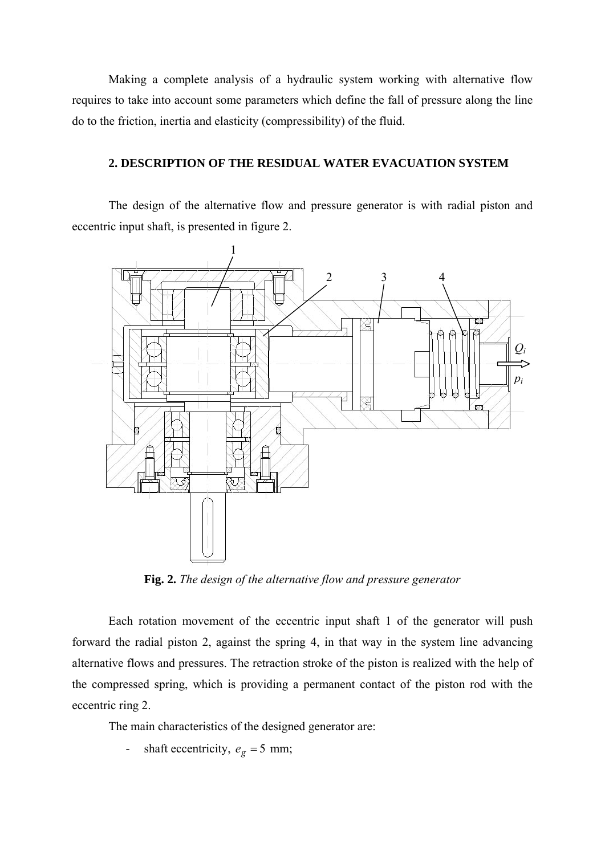Making a complete analysis of a hydraulic system working with alternative flow requires to take into account some parameters which define the fall of pressure along the line do to the friction, inertia and elasticity (compressibility) of the fluid.

# **2. DESCRIPTION OF THE RESIDUAL WATER EVACUATION SYSTEM**

 The design of the alternative flow and pressure generator is with radial piston and eccentric input shaft, is presented in figure 2.



**Fig. 2.** *The design of the alternative flow and pressure generator*

 Each rotation movement of the eccentric input shaft 1 of the generator will push forward the radial piston 2, against the spring 4, in that way in the system line advancing alternative flows and pressures. The retraction stroke of the piston is realized with the help of the compressed spring, which is providing a permanent contact of the piston rod with the eccentric ring 2.

The main characteristics of the designed generator are:

shaft eccentricity,  $e_g = 5$  mm;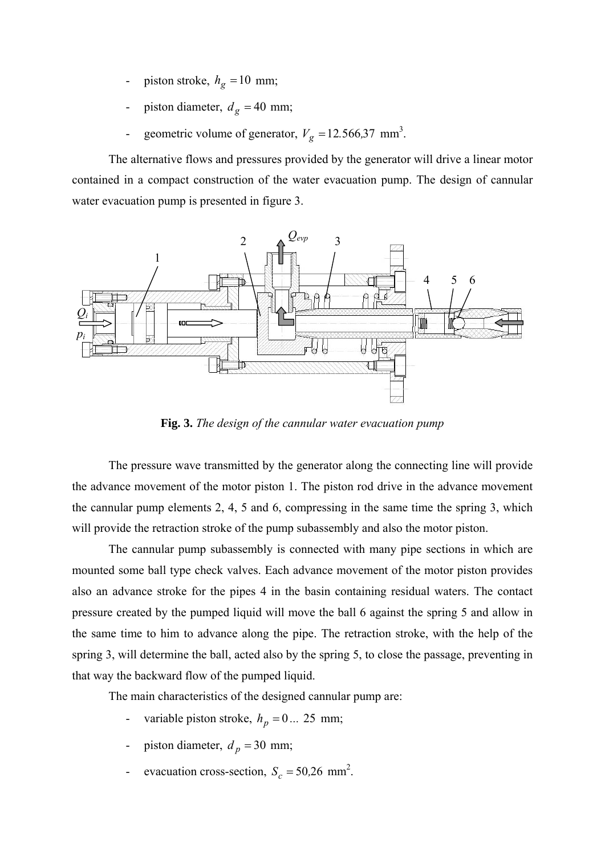- piston stroke,  $h_g = 10$  mm;
- piston diameter,  $d_g = 40$  mm;
- geometric volume of generator,  $V_g = 12.566,37$  mm<sup>3</sup>.

 The alternative flows and pressures provided by the generator will drive a linear motor contained in a compact construction of the water evacuation pump. The design of cannular water evacuation pump is presented in figure 3.



**Fig. 3.** *The design of the cannular water evacuation pump*

 The pressure wave transmitted by the generator along the connecting line will provide the advance movement of the motor piston 1. The piston rod drive in the advance movement the cannular pump elements 2, 4, 5 and 6, compressing in the same time the spring 3, which will provide the retraction stroke of the pump subassembly and also the motor piston.

 The cannular pump subassembly is connected with many pipe sections in which are mounted some ball type check valves. Each advance movement of the motor piston provides also an advance stroke for the pipes 4 in the basin containing residual waters. The contact pressure created by the pumped liquid will move the ball 6 against the spring 5 and allow in the same time to him to advance along the pipe. The retraction stroke, with the help of the spring 3, will determine the ball, acted also by the spring 5, to close the passage, preventing in that way the backward flow of the pumped liquid.

The main characteristics of the designed cannular pump are:

- variable piston stroke,  $h_p = 0...25$  mm;
- piston diameter,  $d_p = 30$  mm;
- evacuation cross-section,  $S_c = 50,26$  mm<sup>2</sup>.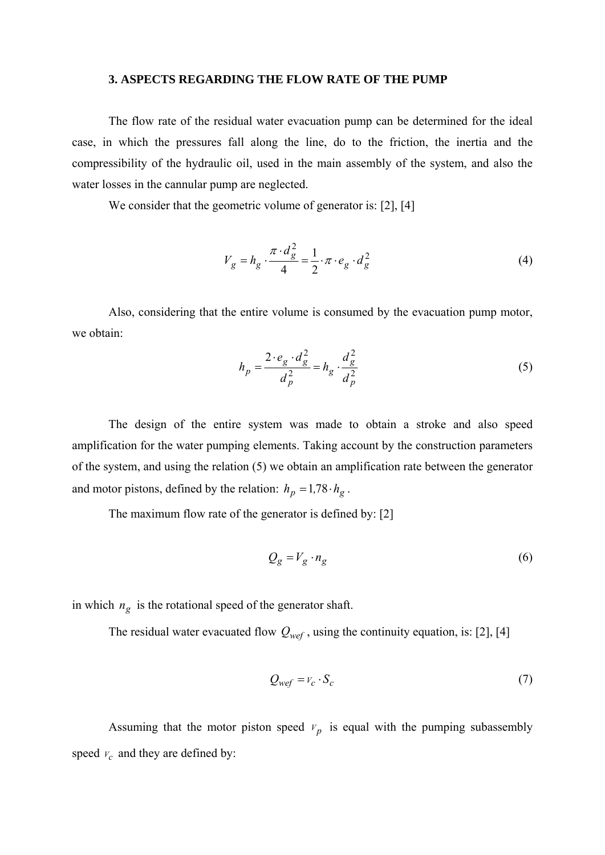#### **3. ASPECTS REGARDING THE FLOW RATE OF THE PUMP**

 The flow rate of the residual water evacuation pump can be determined for the ideal case, in which the pressures fall along the line, do to the friction, the inertia and the compressibility of the hydraulic oil, used in the main assembly of the system, and also the water losses in the cannular pump are neglected.

We consider that the geometric volume of generator is: [2], [4]

$$
V_g = h_g \cdot \frac{\pi \cdot d_g^2}{4} = \frac{1}{2} \cdot \pi \cdot e_g \cdot d_g^2 \tag{4}
$$

 Also, considering that the entire volume is consumed by the evacuation pump motor, we obtain:

$$
h_p = \frac{2 \cdot e_g \cdot d_g^2}{d_p^2} = h_g \cdot \frac{d_g^2}{d_p^2}
$$
 (5)

 The design of the entire system was made to obtain a stroke and also speed amplification for the water pumping elements. Taking account by the construction parameters of the system, and using the relation (5) we obtain an amplification rate between the generator and motor pistons, defined by the relation:  $h_p = 1.78 \cdot h_g$ .

The maximum flow rate of the generator is defined by: [2]

$$
Q_g = V_g \cdot n_g \tag{6}
$$

in which  $n_g$  is the rotational speed of the generator shaft.

The residual water evacuated flow  $Q_{wef}$ , using the continuity equation, is: [2], [4]

$$
Q_{wef} = v_c \cdot S_c \tag{7}
$$

Assuming that the motor piston speed  $v_p$  is equal with the pumping subassembly speed  $v_c$  and they are defined by: